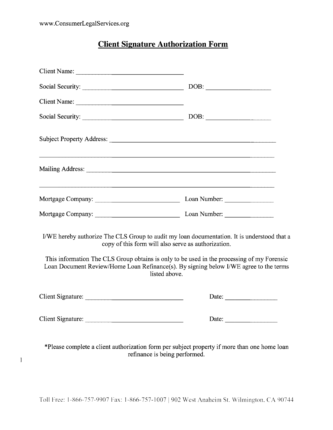$\overline{1}$ 

# **Client Signature Authorization Form**

| Client Name:                                                                                                                                                                                                                                                                                                                                               |                                                                                                                                                                                                                                                                                                                                                                                                                                                   |
|------------------------------------------------------------------------------------------------------------------------------------------------------------------------------------------------------------------------------------------------------------------------------------------------------------------------------------------------------------|---------------------------------------------------------------------------------------------------------------------------------------------------------------------------------------------------------------------------------------------------------------------------------------------------------------------------------------------------------------------------------------------------------------------------------------------------|
| Social Security:                                                                                                                                                                                                                                                                                                                                           | DOB:                                                                                                                                                                                                                                                                                                                                                                                                                                              |
|                                                                                                                                                                                                                                                                                                                                                            |                                                                                                                                                                                                                                                                                                                                                                                                                                                   |
|                                                                                                                                                                                                                                                                                                                                                            |                                                                                                                                                                                                                                                                                                                                                                                                                                                   |
|                                                                                                                                                                                                                                                                                                                                                            |                                                                                                                                                                                                                                                                                                                                                                                                                                                   |
| ,我们也不能在这里的时候,我们也不能在这里的时候,我们也不能在这里的时候,我们也不能会在这里的时候,我们也不能会在这里的时候,我们也不能会在这里的时候,我们也不                                                                                                                                                                                                                                                                           |                                                                                                                                                                                                                                                                                                                                                                                                                                                   |
| <u> 1989 - Johann Stoff, amerikansk politiker (d. 1989)</u>                                                                                                                                                                                                                                                                                                |                                                                                                                                                                                                                                                                                                                                                                                                                                                   |
|                                                                                                                                                                                                                                                                                                                                                            |                                                                                                                                                                                                                                                                                                                                                                                                                                                   |
| I/WE hereby authorize The CLS Group to audit my loan documentation. It is understood that a<br>copy of this form will also serve as authorization.<br>This information The CLS Group obtains is only to be used in the processing of my Forensic<br>Loan Document Review/Home Loan Refinance(s). By signing below I/WE agree to the terms<br>listed above. |                                                                                                                                                                                                                                                                                                                                                                                                                                                   |
|                                                                                                                                                                                                                                                                                                                                                            | Date: $\qquad \qquad$                                                                                                                                                                                                                                                                                                                                                                                                                             |
|                                                                                                                                                                                                                                                                                                                                                            | Date: $\frac{1}{\sqrt{1-\frac{1}{2}} \cdot \frac{1}{2} \cdot \frac{1}{2} \cdot \frac{1}{2} \cdot \frac{1}{2} \cdot \frac{1}{2} \cdot \frac{1}{2} \cdot \frac{1}{2} \cdot \frac{1}{2} \cdot \frac{1}{2} \cdot \frac{1}{2} \cdot \frac{1}{2} \cdot \frac{1}{2} \cdot \frac{1}{2} \cdot \frac{1}{2} \cdot \frac{1}{2} \cdot \frac{1}{2} \cdot \frac{1}{2} \cdot \frac{1}{2} \cdot \frac{1}{2} \cdot \frac{1}{2} \cdot \frac{1}{2} \cdot \frac{1}{2}$ |
| *Please complete a client authorization form per subject property if more than one home loan<br>refinance is being performed.                                                                                                                                                                                                                              |                                                                                                                                                                                                                                                                                                                                                                                                                                                   |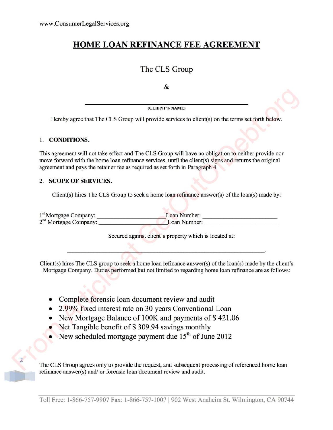## **HOME LOAN REFINANCE FEE AGREEMENT**

### The CLS Group

&

**(CLIENT'S NAME)**

Hereby agree that The CLS Group will provide services to client(s) on the terms set forth below.

#### 1. **CONDITIONS.**

2

This agreement will not take effect and The CLS Group will have no obligation to neither provide nor move forward with the home loan refinance services, until the client  $(s)$  signs and returns the original agreement and pays the retainer fee as required as set forth in Paragraph 4.

#### 2. **SCOPE OF SERVICES.**

Client(s) hires The CLS Group to seek a home loan refinance answer(s) of the loan(s) made by:

1<sup>st</sup> Mortgage Company: Loan Number: 2<sup>nd</sup> Mortgage Company: Loan Number:

Secured against client's property which is located at:

Client(s) hires The CLS group to seek a home loan refinance answer(s) of the loan(s) made by the client's Mortgage Company. Duties performed but not limited to regarding home loan refinance are as follows:

- Complete forensic loan document review and audit
- 2. 99% fixed interest rate on 30 years Conventional Loan
- New Mortgage Balance of 100K and payments of \$ 421.06
- Net Tangible benefit of \$309.94 savings monthly
- New scheduled mortgage payment due  $15<sup>th</sup>$  of June 2012

The CLS Group agrees only to provide the request, and subsequent processing of referenced home loan refinance answer(s) and/ or forensic loan document review and audit.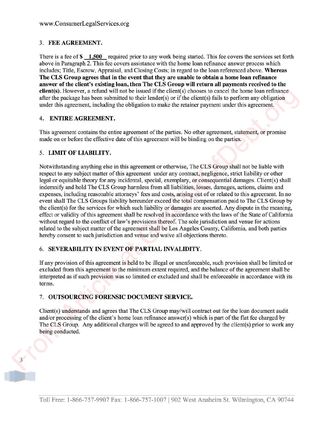#### 3. **FEE AGREEMENT.**

There is a fee of \$1,500 required prior to any work being started. This fee covers the services set forth above in Paragraph 2. This fee covers assistance with the home loan refinance answer process which includes; Title, Escrow, Appraisal, and Closing Costs; in regard to the loan referenced above. **Whereas The CLS Group agrees that in the event that they are unable to obtain a home loan refinance answer of the client's existing loan, then The CLS Group will return all payments received to the client(s).** However, a refund will not be issued if the client(s) chooses to cancel the home loan refinance after the package has been submitted to their lender(s) or if the client(s) fails to perform any obligation under this agreement, including the obligation to make the retainer payment under this agreement.

#### 4. **ENTIRE AGREEMENT.**

This agreement contains the entire agreement of the parties. No other agreement, statement, or promise made on or before the effective date of this agreement will be binding on the parties.

#### 5. **LIMIT OF LIABILITY.**

Notwithstanding anything else in this agreement or otherwise, The CLS Group shall not be liable with respect to any subject matter of this agreement under any contract, negligence, strict liability or other legal or equitable theory for any incidental, special, exemplary, or consequential damages. Client(s) shall indemnify and hold The CLS Group harmless from all liabilities, losses, damages, actions, claims and expenses, including reasonable attorneys' fees and costs, arising out of or related to this agreement. In no event shall The CLS Groups liability hereunder exceed the total compensation paid to The CLS Group by the client(s) for the services for which such liability or damages are asserted. Any dispute in the meaning, effect or validity of this agreement shall be resolved in accordance with the laws of the State of California without regard to the conflict of law's provisions thereof. The sole jurisdiction and venue for actions related to the subject matter of the agreement shall be Los Angeles County, California, and both parties hereby consent to such jurisdiction and venue and waive all objections thereto.

#### 6. **SEVERABILITY IN EVENT OF PARTIAL INVALIDITY.**

If any provision of this agreement is held to be illegal or unenforceable, such provision shall be limited or excluded from this agreement to the minimum extent required, and the balance of the agreement shall be interpreted as if such provision was so limited or excluded and shall be enforceable in accordance with its terms.

#### 7. **OUTSOURCING FORENSIC DOCUMENT SERVICE.**

Client(s) understands and agrees that The CLS Group may/will contract out for the loan document audit and/or processing of the client's home loan refinance answer(s) which is part of the flat fee charged by The CLS Group. Any additional charges will be agreed to and approved by the client(s) prior to work any being conducted.